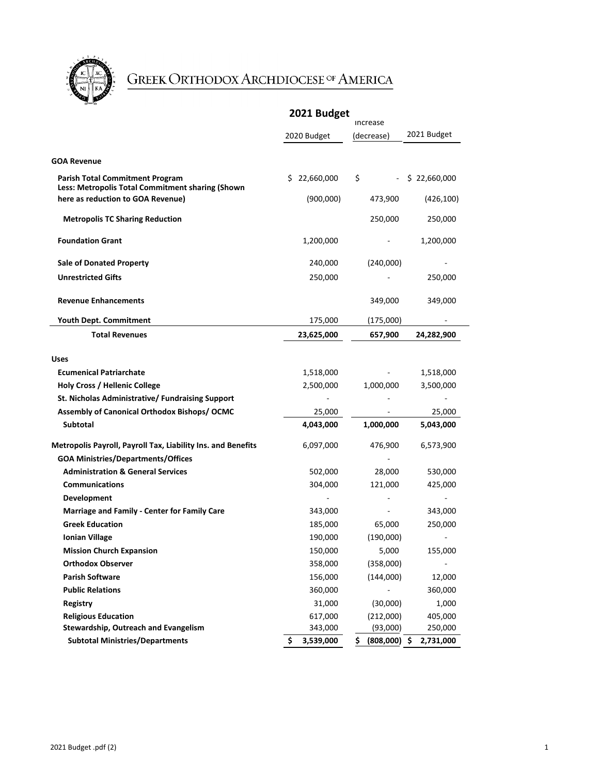

## GREEK ORTHODOX ARCHDIOCESE OF AMERICA

|                                                                                            | 2021 Budget<br><b>Increase</b> |                 |                 |
|--------------------------------------------------------------------------------------------|--------------------------------|-----------------|-----------------|
|                                                                                            | 2020 Budget                    | (decrease)      | 2021 Budget     |
|                                                                                            |                                |                 |                 |
| <b>GOA Revenue</b>                                                                         |                                |                 |                 |
| <b>Parish Total Commitment Program</b><br>Less: Metropolis Total Commitment sharing (Shown | \$22,660,000                   | \$              | \$22,660,000    |
| here as reduction to GOA Revenue)                                                          | (900,000)                      | 473,900         | (426, 100)      |
| <b>Metropolis TC Sharing Reduction</b>                                                     |                                | 250,000         | 250,000         |
| <b>Foundation Grant</b>                                                                    | 1,200,000                      |                 | 1,200,000       |
| <b>Sale of Donated Property</b>                                                            | 240,000                        | (240,000)       |                 |
| <b>Unrestricted Gifts</b>                                                                  | 250,000                        |                 | 250,000         |
| <b>Revenue Enhancements</b>                                                                |                                | 349,000         | 349,000         |
| Youth Dept. Commitment                                                                     | 175,000                        | (175,000)       |                 |
| <b>Total Revenues</b>                                                                      | 23,625,000                     | 657,900         | 24,282,900      |
|                                                                                            |                                |                 |                 |
| <b>Uses</b>                                                                                |                                |                 |                 |
| <b>Ecumenical Patriarchate</b>                                                             | 1,518,000                      |                 | 1,518,000       |
| <b>Holy Cross / Hellenic College</b>                                                       | 2,500,000                      | 1,000,000       | 3,500,000       |
| St. Nicholas Administrative/ Fundraising Support                                           |                                |                 |                 |
| Assembly of Canonical Orthodox Bishops/ OCMC                                               | 25,000                         |                 | 25,000          |
| Subtotal                                                                                   | 4,043,000                      | 1,000,000       | 5,043,000       |
| Metropolis Payroll, Payroll Tax, Liability Ins. and Benefits                               | 6,097,000                      | 476,900         | 6,573,900       |
| <b>GOA Ministries/Departments/Offices</b>                                                  |                                |                 |                 |
| <b>Administration &amp; General Services</b>                                               | 502,000                        | 28,000          | 530,000         |
| <b>Communications</b>                                                                      | 304,000                        | 121,000         | 425,000         |
| <b>Development</b>                                                                         |                                |                 |                 |
| <b>Marriage and Family - Center for Family Care</b>                                        | 343,000                        |                 | 343,000         |
| <b>Greek Education</b>                                                                     | 185,000                        | 65,000          | 250,000         |
| <b>Ionian Village</b>                                                                      | 190,000                        | (190,000)       |                 |
| <b>Mission Church Expansion</b>                                                            | 150,000                        | 5,000           | 155,000         |
| <b>Orthodox Observer</b>                                                                   | 358,000                        | (358,000)       |                 |
| <b>Parish Software</b>                                                                     | 156,000                        | (144,000)       | 12,000          |
| <b>Public Relations</b>                                                                    | 360,000                        |                 | 360,000         |
| <b>Registry</b>                                                                            | 31,000                         | (30,000)        | 1,000           |
| <b>Religious Education</b>                                                                 | 617,000                        | (212,000)       | 405,000         |
| Stewardship, Outreach and Evangelism                                                       | 343,000                        | (93,000)        | 250,000         |
| <b>Subtotal Ministries/Departments</b>                                                     | \$<br>3,539,000                | (808,000)<br>S. | 2,731,000<br>Ş. |